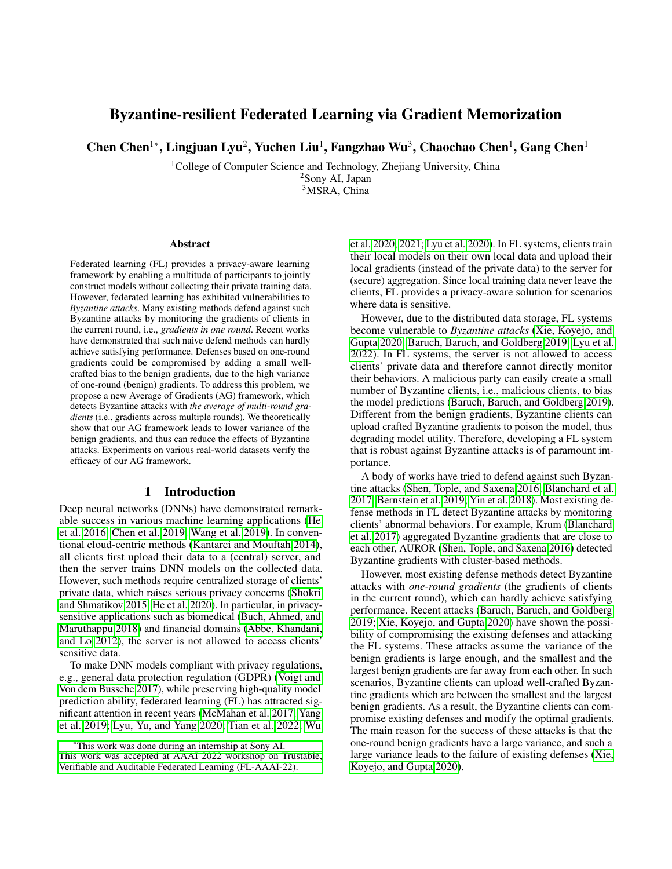# Byzantine-resilient Federated Learning via Gradient Memorization

Chen Chen<sup>1</sup>\*, Lingjuan Lyu<sup>2</sup>, Yuchen Liu<sup>1</sup>, Fangzhao Wu<sup>3</sup>, Chaochao Chen<sup>1</sup>, Gang Chen<sup>1</sup>

<sup>1</sup>College of Computer Science and Technology, Zhejiang University, China <sup>2</sup>Sony AI, Japan

<sup>3</sup>MSRA, China

#### Abstract

Federated learning (FL) provides a privacy-aware learning framework by enabling a multitude of participants to jointly construct models without collecting their private training data. However, federated learning has exhibited vulnerabilities to *Byzantine attacks*. Many existing methods defend against such Byzantine attacks by monitoring the gradients of clients in the current round, i.e., *gradients in one round*. Recent works have demonstrated that such naive defend methods can hardly achieve satisfying performance. Defenses based on one-round gradients could be compromised by adding a small wellcrafted bias to the benign gradients, due to the high variance of one-round (benign) gradients. To address this problem, we propose a new Average of Gradients (AG) framework, which detects Byzantine attacks with *the average of multi-round gradients* (i.e., gradients across multiple rounds). We theoretically show that our AG framework leads to lower variance of the benign gradients, and thus can reduce the effects of Byzantine attacks. Experiments on various real-world datasets verify the efficacy of our AG framework.

#### 1 Introduction

Deep neural networks (DNNs) have demonstrated remarkable success in various machine learning applications [\(He](#page-6-0) [et al. 2016;](#page-6-0) [Chen et al. 2019;](#page-6-1) [Wang et al. 2019\)](#page-7-0). In conventional cloud-centric methods [\(Kantarci and Mouftah 2014\)](#page-7-1), all clients first upload their data to a (central) server, and then the server trains DNN models on the collected data. However, such methods require centralized storage of clients' private data, which raises serious privacy concerns [\(Shokri](#page-7-2) [and Shmatikov 2015;](#page-7-2) [He et al. 2020\)](#page-7-3). In particular, in privacysensitive applications such as biomedical [\(Buch, Ahmed, and](#page-6-2) [Maruthappu 2018\)](#page-6-2) and financial domains [\(Abbe, Khandani,](#page-6-3) [and Lo 2012\)](#page-6-3), the server is not allowed to access clients' sensitive data.

To make DNN models compliant with privacy regulations, e.g., general data protection regulation (GDPR) [\(Voigt and](#page-7-4) [Von dem Bussche 2017\)](#page-7-4), while preserving high-quality model prediction ability, federated learning (FL) has attracted significant attention in recent years [\(McMahan et al. 2017;](#page-7-5) [Yang](#page-7-6) [et al. 2019;](#page-7-6) [Lyu, Yu, and Yang 2020;](#page-7-7) [Tian et al. 2022;](#page-7-8) [Wu](#page-7-9)

[et al. 2020,](#page-7-9) [2021;](#page-7-10) [Lyu et al. 2020\)](#page-7-11). In FL systems, clients train their local models on their own local data and upload their local gradients (instead of the private data) to the server for (secure) aggregation. Since local training data never leave the clients, FL provides a privacy-aware solution for scenarios where data is sensitive.

However, due to the distributed data storage, FL systems become vulnerable to *Byzantine attacks* [\(Xie, Koyejo, and](#page-7-12) [Gupta 2020;](#page-7-12) [Baruch, Baruch, and Goldberg 2019;](#page-6-4) [Lyu et al.](#page-7-13) [2022\)](#page-7-13). In FL systems, the server is not allowed to access clients' private data and therefore cannot directly monitor their behaviors. A malicious party can easily create a small number of Byzantine clients, i.e., malicious clients, to bias the model predictions [\(Baruch, Baruch, and Goldberg 2019\)](#page-6-4). Different from the benign gradients, Byzantine clients can upload crafted Byzantine gradients to poison the model, thus degrading model utility. Therefore, developing a FL system that is robust against Byzantine attacks is of paramount importance.

A body of works have tried to defend against such Byzantine attacks [\(Shen, Tople, and Saxena 2016;](#page-7-14) [Blanchard et al.](#page-6-5) [2017;](#page-6-5) [Bernstein et al. 2019;](#page-6-6) [Yin et al. 2018\)](#page-7-15). Most existing defense methods in FL detect Byzantine attacks by monitoring clients' abnormal behaviors. For example, Krum [\(Blanchard](#page-6-5) [et al. 2017\)](#page-6-5) aggregated Byzantine gradients that are close to each other, AUROR [\(Shen, Tople, and Saxena 2016\)](#page-7-14) detected Byzantine gradients with cluster-based methods.

However, most existing defense methods detect Byzantine attacks with *one-round gradients* (the gradients of clients in the current round), which can hardly achieve satisfying performance. Recent attacks [\(Baruch, Baruch, and Goldberg](#page-6-4) [2019;](#page-6-4) [Xie, Koyejo, and Gupta 2020\)](#page-7-12) have shown the possibility of compromising the existing defenses and attacking the FL systems. These attacks assume the variance of the benign gradients is large enough, and the smallest and the largest benign gradients are far away from each other. In such scenarios, Byzantine clients can upload well-crafted Byzantine gradients which are between the smallest and the largest benign gradients. As a result, the Byzantine clients can compromise existing defenses and modify the optimal gradients. The main reason for the success of these attacks is that the one-round benign gradients have a large variance, and such a large variance leads to the failure of existing defenses [\(Xie,](#page-7-12) [Koyejo, and Gupta 2020\)](#page-7-12).

<sup>\*</sup>[This work was done during an internship at Sony AI.](#page-7-9) [This work was accepted at AAAI 2022 workshop on Trustable,](#page-7-9) [Verifiable and Auditable Federated Learning \(FL-AAAI-22\).](#page-7-9)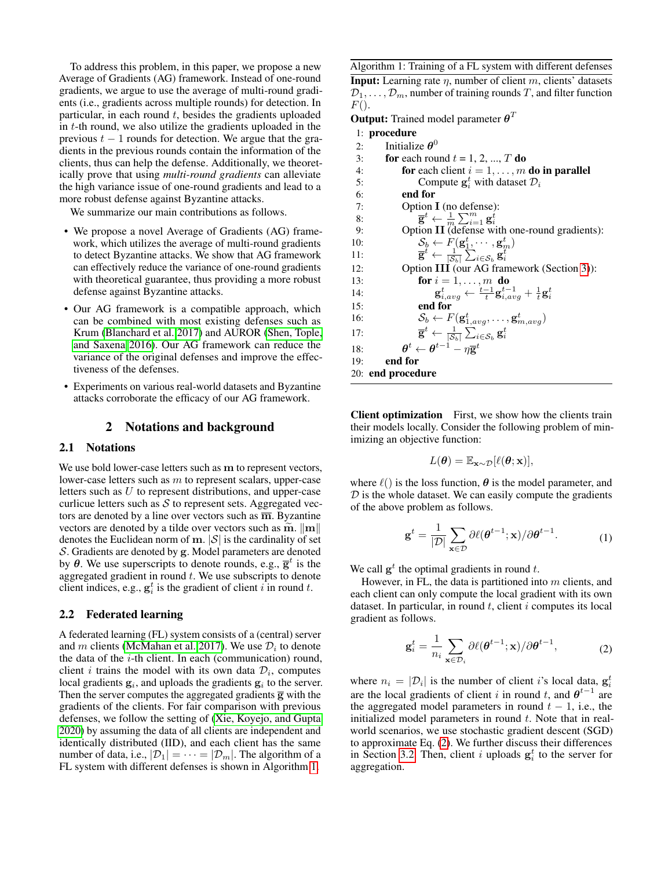To address this problem, in this paper, we propose a new Average of Gradients (AG) framework. Instead of one-round gradients, we argue to use the average of multi-round gradients (i.e., gradients across multiple rounds) for detection. In particular, in each round  $t$ , besides the gradients uploaded in t-th round, we also utilize the gradients uploaded in the previous  $t - 1$  rounds for detection. We argue that the gradients in the previous rounds contain the information of the clients, thus can help the defense. Additionally, we theoretically prove that using *multi-round gradients* can alleviate the high variance issue of one-round gradients and lead to a more robust defense against Byzantine attacks.

We summarize our main contributions as follows.

- We propose a novel Average of Gradients (AG) framework, which utilizes the average of multi-round gradients to detect Byzantine attacks. We show that AG framework can effectively reduce the variance of one-round gradients with theoretical guarantee, thus providing a more robust defense against Byzantine attacks.
- Our AG framework is a compatible approach, which can be combined with most existing defenses such as Krum [\(Blanchard et al. 2017\)](#page-6-5) and AUROR [\(Shen, Tople,](#page-7-14) [and Saxena 2016\)](#page-7-14). Our AG framework can reduce the variance of the original defenses and improve the effectiveness of the defenses.
- Experiments on various real-world datasets and Byzantine attacks corroborate the efficacy of our AG framework.

### 2 Notations and background

## 2.1 Notations

We use bold lower-case letters such as m to represent vectors, lower-case letters such as  $m$  to represent scalars, upper-case letters such as U to represent distributions, and upper-case curlicue letters such as  $S$  to represent sets. Aggregated vectors are denoted by a line over vectors such as  $\overline{m}$ . Byzantine vectors are denoted by a tilde over vectors such as  $\widetilde{m}$ .  $\|\mathbf{m}\|$ . denotes the Euclidean norm of  $\mathbf{m}$ .  $|\mathcal{S}|$  is the cardinality of set S. Gradients are denoted by g. Model parameters are denoted by  $\theta$ . We use superscripts to denote rounds, e.g.,  $\overline{g}^t$  is the aggregated gradient in round  $t$ . We use subscripts to denote client indices, e.g.,  $\mathbf{g}_i^t$  is the gradient of client i in round t.

## <span id="page-1-2"></span>2.2 Federated learning

A federated learning (FL) system consists of a (central) server and m clients [\(McMahan et al. 2017\)](#page-7-5). We use  $\mathcal{D}_i$  to denote the data of the  $i$ -th client. In each (communication) round, client *i* trains the model with its own data  $\mathcal{D}_i$ , computes local gradients  $g_i$ , and uploads the gradients  $g_i$  to the server. Then the server computes the aggregated gradients  $\bar{g}$  with the gradients of the clients. For fair comparison with previous defenses, we follow the setting of [\(Xie, Koyejo, and Gupta](#page-7-12) [2020\)](#page-7-12) by assuming the data of all clients are independent and identically distributed (IID), and each client has the same number of data, i.e.,  $|\mathcal{D}_1| = \cdots = |\mathcal{D}_m|$ . The algorithm of a FL system with different defenses is shown in Algorithm [1.](#page-1-0)

<span id="page-1-0"></span>Algorithm 1: Training of a FL system with different defenses

**Input:** Learning rate  $\eta$ , number of client m, clients' datasets  $\mathcal{D}_1, \ldots, \mathcal{D}_m$ , number of training rounds T, and filter function  $F()$ .

**Output:** Trained model parameter  $\boldsymbol{\theta}^T$ 

|     | 1: procedure                                                                                                                                                                                         |
|-----|------------------------------------------------------------------------------------------------------------------------------------------------------------------------------------------------------|
| 2:  | Initialize $\theta^0$                                                                                                                                                                                |
| 3:  | <b>for</b> each round $t = 1, 2, , T$ <b>do</b>                                                                                                                                                      |
| 4:  | for each client $i = 1, \ldots, m$ do in parallel                                                                                                                                                    |
| 5:  | Compute $\mathbf{g}_i^t$ with dataset $\mathcal{D}_i$                                                                                                                                                |
| 6:  | end for                                                                                                                                                                                              |
| 7:  | Option $I$ (no defense):                                                                                                                                                                             |
| 8:  | $\overline{\mathbf{g}}^t \leftarrow \frac{1}{m} \sum_{i=1}^m \mathbf{g}_i^t$                                                                                                                         |
| 9:  | Option II (defense with one-round gradients):                                                                                                                                                        |
| 10: | $\mathcal{S}_b \leftarrow F(\mathbf{g}_1^t, \cdots, \mathbf{g}_m^t)$                                                                                                                                 |
| 11: | $\overline{\mathbf{g}}^t \leftarrow \frac{1}{ \mathcal{S}_h } \sum_{i \in \mathcal{S}_h} \mathbf{g}_i^t$                                                                                             |
| 12: | Option III (our AG framework (Section 3)):                                                                                                                                                           |
| 13: | for $i = 1, \ldots, m$ do                                                                                                                                                                            |
| 14: | $\mathbf{g}_{i.ava}^t \leftarrow \frac{t-1}{t} \mathbf{g}_{i.ava}^{t-1} + \frac{1}{t} \mathbf{g}_{i}^t$                                                                                              |
| 15: | end for                                                                                                                                                                                              |
| 16: | $\mathcal{S}_b \leftarrow F(\mathbf{g}_{1,avg}^t, \dots, \mathbf{g}_{m,avg}^t)$                                                                                                                      |
| 17: | $\overline{\mathbf{g}}^t \leftarrow \frac{1}{ \mathcal{S}_b } \sum_{i \in \mathcal{S}_b} \mathbf{g}_i^t \ \boldsymbol{\theta}^t \leftarrow \boldsymbol{\theta}^{t-1} - \eta \overline{\mathbf{g}}^t$ |
| 18: |                                                                                                                                                                                                      |
| 19: | end for                                                                                                                                                                                              |
|     | 20: end procedure                                                                                                                                                                                    |

Client optimization First, we show how the clients train their models locally. Consider the following problem of minimizing an objective function:

$$
L(\boldsymbol{\theta}) = \mathbb{E}_{\mathbf{x} \sim \mathcal{D}}[\ell(\boldsymbol{\theta}; \mathbf{x})],
$$

where  $\ell()$  is the loss function,  $\theta$  is the model parameter, and  $D$  is the whole dataset. We can easily compute the gradients of the above problem as follows.

$$
\mathbf{g}^{t} = \frac{1}{|\mathcal{D}|} \sum_{\mathbf{x} \in \mathcal{D}} \partial \ell(\boldsymbol{\theta}^{t-1}; \mathbf{x}) / \partial \boldsymbol{\theta}^{t-1}.
$$
 (1)

We call  $g^t$  the optimal gradients in round t.

However, in FL, the data is partitioned into  $m$  clients, and each client can only compute the local gradient with its own dataset. In particular, in round  $t$ , client  $i$  computes its local gradient as follows.

<span id="page-1-1"></span>
$$
\mathbf{g}_i^t = \frac{1}{n_i} \sum_{\mathbf{x} \in \mathcal{D}_i} \partial \ell(\boldsymbol{\theta}^{t-1}; \mathbf{x}) / \partial \boldsymbol{\theta}^{t-1}, \tag{2}
$$

where  $n_i = |\mathcal{D}_i|$  is the number of client *i*'s local data,  $g_i^t$ are the local gradients of client i in round t, and  $\theta^{t-1}$  are the aggregated model parameters in round  $t - 1$ , i.e., the initialized model parameters in round  $t$ . Note that in realworld scenarios, we use stochastic gradient descent (SGD) to approximate Eq. [\(2\)](#page-1-1). We further discuss their differences in Section [3.2.](#page-3-1) Then, client *i* uploads  $g_i^t$  to the server for aggregation.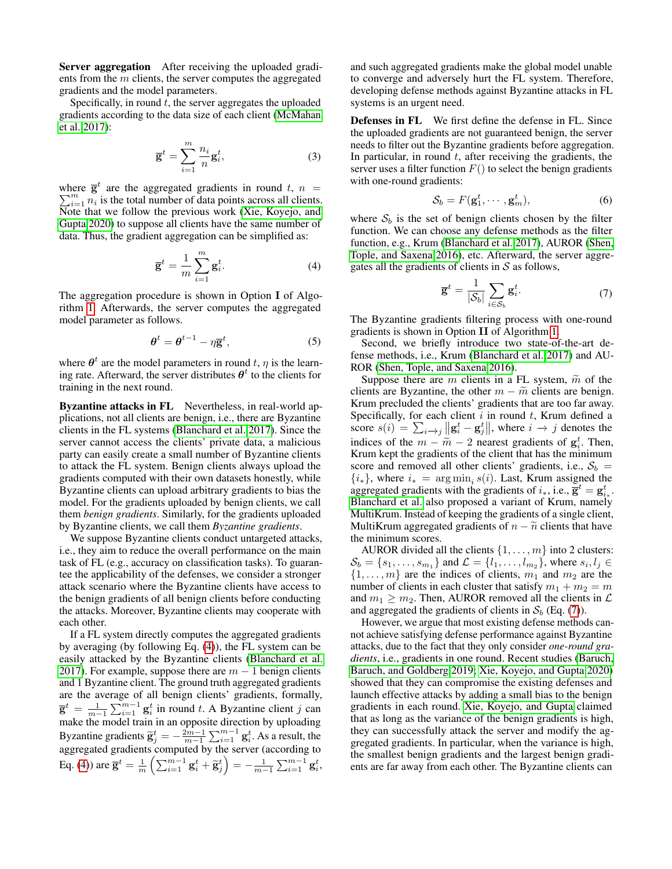Server aggregation After receiving the uploaded gradients from the m clients, the server computes the aggregated gradients and the model parameters.

Specifically, in round  $t$ , the server aggregates the uploaded gradients according to the data size of each client [\(McMahan](#page-7-5) [et al. 2017\)](#page-7-5):

$$
\overline{\mathbf{g}}^t = \sum_{i=1}^m \frac{n_i}{n} \mathbf{g}_i^t,\tag{3}
$$

where  $\overline{\mathbf{g}}^t$ P here  $\bar{g}^t$  are the aggregated gradients in round t,  $n = \sum_{i=1}^m n_i$  is the total number of data points across all clients. Note that we follow the previous work [\(Xie, Koyejo, and](#page-7-12) [Gupta 2020\)](#page-7-12) to suppose all clients have the same number of data. Thus, the gradient aggregation can be simplified as:

$$
\overline{\mathbf{g}}^t = \frac{1}{m} \sum_{i=1}^m \mathbf{g}_i^t.
$$
 (4)

The aggregation procedure is shown in Option I of Algorithm [1.](#page-1-0) Afterwards, the server computes the aggregated model parameter as follows.

$$
\boldsymbol{\theta}^t = \boldsymbol{\theta}^{t-1} - \eta \overline{\mathbf{g}}^t,\tag{5}
$$

where  $\theta^t$  are the model parameters in round t,  $\eta$  is the learning rate. Afterward, the server distributes  $\theta^t$  to the clients for training in the next round.

Byzantine attacks in FL Nevertheless, in real-world applications, not all clients are benign, i.e., there are Byzantine clients in the FL systems [\(Blanchard et al. 2017\)](#page-6-5). Since the server cannot access the clients' private data, a malicious party can easily create a small number of Byzantine clients to attack the FL system. Benign clients always upload the gradients computed with their own datasets honestly, while Byzantine clients can upload arbitrary gradients to bias the model. For the gradients uploaded by benign clients, we call them *benign gradients*. Similarly, for the gradients uploaded by Byzantine clients, we call them *Byzantine gradients*.

We suppose Byzantine clients conduct untargeted attacks, i.e., they aim to reduce the overall performance on the main task of FL (e.g., accuracy on classification tasks). To guarantee the applicability of the defenses, we consider a stronger attack scenario where the Byzantine clients have access to the benign gradients of all benign clients before conducting the attacks. Moreover, Byzantine clients may cooperate with each other.

If a FL system directly computes the aggregated gradients by averaging (by following Eq. [\(4\)](#page-2-0)), the FL system can be easily attacked by the Byzantine clients [\(Blanchard et al.](#page-6-5) [2017\)](#page-6-5). For example, suppose there are  $m - 1$  benign clients and 1 Byzantine client. The ground truth aggregated gradients are the average of all benign clients' gradients, formally,  $\overline{\mathbf{g}}^t = \frac{1}{m-1} \sum_{i=1}^{m-1} \mathbf{g}_i^t$  in round t. A Byzantine client j can make the model train in an opposite direction by uploading Byzantine gradients  $\tilde{\mathbf{g}}_j^t = -\frac{2m-1}{m-1} \sum_{i=1}^{m-1} \mathbf{g}_i^t$ . As a result, the aggregated gradients computed by the server (according to Eq. [\(4\)](#page-2-0)) are  $\overline{\mathbf{g}}^t = \frac{1}{m} \left( \sum_{i=1}^{m-1} \mathbf{g}_i^t + \widetilde{\mathbf{g}}_j^t \right) = -\frac{1}{m-1} \sum_{i=1}^{m-1} \mathbf{g}_i^t$ ,

and such aggregated gradients make the global model unable to converge and adversely hurt the FL system. Therefore, developing defense methods against Byzantine attacks in FL systems is an urgent need.

Defenses in FL We first define the defense in FL. Since the uploaded gradients are not guaranteed benign, the server needs to filter out the Byzantine gradients before aggregation. In particular, in round  $t$ , after receiving the gradients, the server uses a filter function  $F()$  to select the benign gradients with one-round gradients:

<span id="page-2-2"></span>
$$
S_b = F(\mathbf{g}_1^t, \cdots, \mathbf{g}_m^t),\tag{6}
$$

<span id="page-2-0"></span>where  $S_b$  is the set of benign clients chosen by the filter function. We can choose any defense methods as the filter function, e.g., Krum [\(Blanchard et al. 2017\)](#page-6-5), AUROR [\(Shen,](#page-7-14) [Tople, and Saxena 2016\)](#page-7-14), etc. Afterward, the server aggregates all the gradients of clients in  $S$  as follows,

<span id="page-2-1"></span>
$$
\overline{\mathbf{g}}^t = \frac{1}{|\mathcal{S}_b|} \sum_{i \in \mathcal{S}_b} \mathbf{g}_i^t. \tag{7}
$$

The Byzantine gradients filtering process with one-round gradients is shown in Option II of Algorithm [1.](#page-1-0)

Second, we briefly introduce two state-of-the-art defense methods, i.e., Krum [\(Blanchard et al. 2017\)](#page-6-5) and AU-ROR [\(Shen, Tople, and Saxena 2016\)](#page-7-14).

Suppose there are m clients in a FL system,  $\tilde{m}$  of the clients are Byzantine, the other  $m - \tilde{m}$  clients are benign. Krum precluded the clients' gradients that are too far away. Specifically, for each client  $i$  in round  $t$ , Krum defined a score  $s(i) = \sum_{i \to j} ||\mathbf{g}_i^t - \mathbf{g}_j^t||$ , where  $i \to j$  denotes the indices of the  $m - \widetilde{m} - 2$  nearest gradients of  $g_i^t$ . Then,<br>Krum kent the gradients of the client that has the minimum Krum kept the gradients of the client that has the minimum score and removed all other clients' gradients, i.e.,  $S_b$  =  ${i_*}$ , where  $i_* = \arg \min_i s(i)$ . Last, Krum assigned the aggregated gradients with the gradients of  $i_*,$  i.e.,  $\overline{\mathbf{g}}^t = \mathbf{g}_{i_*}^t$ . [Blanchard et al.](#page-6-5) also proposed a variant of Krum, namely MultiKrum. Instead of keeping the gradients of a single client, MultiKrum aggregated gradients of  $n - \tilde{n}$  clients that have the minimum scores.

AUROR divided all the clients  $\{1, \ldots, m\}$  into 2 clusters:  $\mathcal{S}_b = \{s_1, \ldots, s_{m_1}\}\$  and  $\mathcal{L} = \{l_1, \ldots, l_{m_2}\}\$ , where  $s_i, l_j \in$  $\{1, \ldots, m\}$  are the indices of clients,  $m_1$  and  $m_2$  are the number of clients in each cluster that satisfy  $m_1 + m_2 = m$ and  $m_1 \geq m_2$ . Then, AUROR removed all the clients in  $\mathcal L$ and aggregated the gradients of clients in  $S_b$  (Eq. [\(7\)](#page-2-1)).

However, we argue that most existing defense methods cannot achieve satisfying defense performance against Byzantine attacks, due to the fact that they only consider *one-round gradients*, i.e., gradients in one round. Recent studies [\(Baruch,](#page-6-4) [Baruch, and Goldberg 2019;](#page-6-4) [Xie, Koyejo, and Gupta 2020\)](#page-7-12) showed that they can compromise the existing defenses and launch effective attacks by adding a small bias to the benign gradients in each round. [Xie, Koyejo, and Gupta](#page-7-12) claimed that as long as the variance of the benign gradients is high, they can successfully attack the server and modify the aggregated gradients. In particular, when the variance is high, the smallest benign gradients and the largest benign gradients are far away from each other. The Byzantine clients can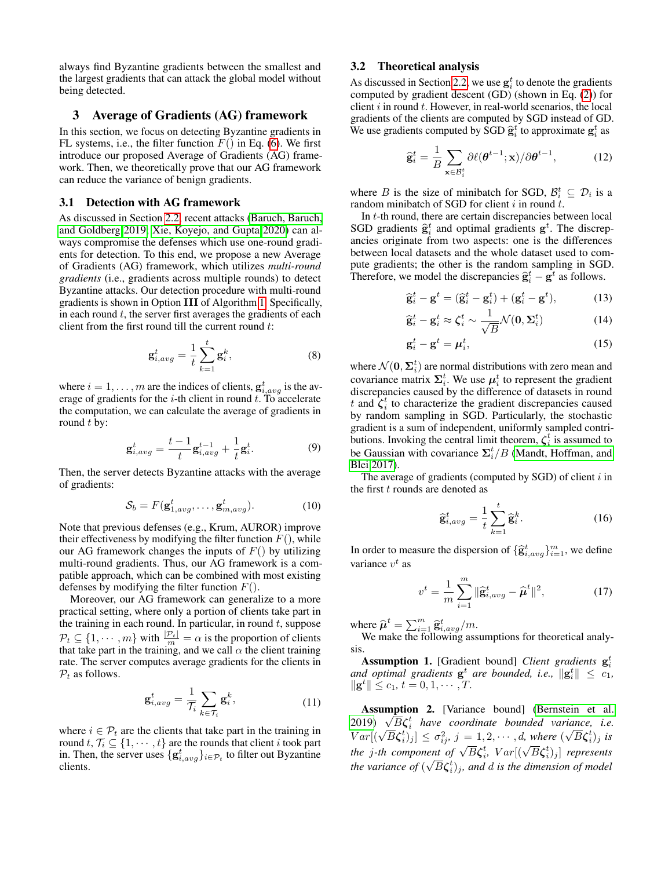always find Byzantine gradients between the smallest and the largest gradients that can attack the global model without being detected.

## <span id="page-3-0"></span>3 Average of Gradients (AG) framework

In this section, we focus on detecting Byzantine gradients in FL systems, i.e., the filter function  $F()$  in Eq. [\(6\)](#page-2-2). We first introduce our proposed Average of Gradients (AG) framework. Then, we theoretically prove that our AG framework can reduce the variance of benign gradients.

#### 3.1 Detection with AG framework

As discussed in Section [2.2,](#page-1-2) recent attacks [\(Baruch, Baruch,](#page-6-4) [and Goldberg 2019;](#page-6-4) [Xie, Koyejo, and Gupta 2020\)](#page-7-12) can always compromise the defenses which use one-round gradients for detection. To this end, we propose a new Average of Gradients (AG) framework, which utilizes *multi-round gradients* (i.e., gradients across multiple rounds) to detect Byzantine attacks. Our detection procedure with multi-round gradients is shown in Option III of Algorithm [1.](#page-1-0) Specifically, in each round  $t$ , the server first averages the gradients of each client from the first round till the current round t:

$$
\mathbf{g}_{i,avg}^t = \frac{1}{t} \sum_{k=1}^t \mathbf{g}_i^k, \tag{8}
$$

where  $i = 1, \dots, m$  are the indices of clients,  $\mathbf{g}_{i, avg}^{t}$  is the average of gradients for the  $i$ -th client in round  $t$ . To accelerate the computation, we can calculate the average of gradients in round  $t$  by:

$$
\mathbf{g}_{i,avg}^t = \frac{t-1}{t} \mathbf{g}_{i,avg}^{t-1} + \frac{1}{t} \mathbf{g}_i^t. \tag{9}
$$

Then, the server detects Byzantine attacks with the average of gradients:

$$
\mathcal{S}_b = F(\mathbf{g}_{1,avg}^t, \dots, \mathbf{g}_{m,avg}^t). \tag{10}
$$

Note that previous defenses (e.g., Krum, AUROR) improve their effectiveness by modifying the filter function  $F()$ , while our AG framework changes the inputs of  $F()$  by utilizing multi-round gradients. Thus, our AG framework is a compatible approach, which can be combined with most existing defenses by modifying the filter function  $F()$ .

Moreover, our AG framework can generalize to a more practical setting, where only a portion of clients take part in the training in each round. In particular, in round  $t$ , suppose  $P_t \subseteq \{1, \dots, m\}$  with  $\frac{|P_t|}{m} = \alpha$  is the proportion of clients that take part in the training, and we call  $\alpha$  the client training rate. The server computes average gradients for the clients in  $P_t$  as follows.

$$
\mathbf{g}_{i,avg}^{t} = \frac{1}{\mathcal{T}_i} \sum_{k \in \mathcal{T}_i} \mathbf{g}_i^k, \tag{11}
$$

where  $i \in \mathcal{P}_t$  are the clients that take part in the training in round  $t, \mathcal{T}_i \subseteq \{1, \cdots, t\}$  are the rounds that client i took part in. Then, the server uses  $\{g_{i,avg}^t\}_{i \in \mathcal{P}_t}$  to filter out Byzantine clients.

## <span id="page-3-1"></span>3.2 Theoretical analysis

As discussed in Section [2.2,](#page-1-2) we use  $g_i^t$  to denote the gradients computed by gradient descent (GD) (shown in Eq. [\(2\)](#page-1-1)) for client  $i$  in round  $t$ . However, in real-world scenarios, the local gradients of the clients are computed by SGD instead of GD. We use gradients computed by  $\widehat{SGD} \widehat{g}_i^t$  to approximate  $g_i^t$  as

$$
\widehat{\mathbf{g}}_i^t = \frac{1}{B} \sum_{\mathbf{x} \in \mathcal{B}_i^t} \partial \ell(\boldsymbol{\theta}^{t-1}; \mathbf{x}) / \partial \boldsymbol{\theta}^{t-1}, \tag{12}
$$

where B is the size of minibatch for SGD,  $\mathcal{B}_i^t \subseteq \mathcal{D}_i$  is a random minibatch of SGD for client  $i$  in round  $t$ .

In  $t$ -th round, there are certain discrepancies between local SGD gradients  $\hat{\mathbf{g}}_i^t$  and optimal gradients  $\mathbf{g}^t$ . The discrepancies originate from two aspects: one is the differences between local datasets and the whole dataset used to compute gradients; the other is the random sampling in SGD. Therefore, we model the discrepancies  $\hat{\mathbf{g}}_i^t - \hat{\mathbf{g}}^t$  as follows.

$$
\widehat{\mathbf{g}}_i^t - \mathbf{g}^t = (\widehat{\mathbf{g}}_i^t - \mathbf{g}_i^t) + (\mathbf{g}_i^t - \mathbf{g}^t),\tag{13}
$$

$$
\hat{\mathbf{g}}_i^t - \mathbf{g}_i^t \approx \boldsymbol{\zeta}_i^t \sim \frac{1}{\sqrt{B}} \mathcal{N}(\mathbf{0}, \boldsymbol{\Sigma}_i^t)
$$
 (14)

$$
\mathbf{g}_i^t - \mathbf{g}^t = \boldsymbol{\mu}_i^t,\tag{15}
$$

where  $\mathcal{N}(\mathbf{0},\mathbf{\Sigma}_i^t)$  are normal distributions with zero mean and covariance matrix  $\Sigma_i^t$ . We use  $\mu_i^t$  to represent the gradient discrepancies caused by the difference of datasets in round t and  $\zeta_i^t$  to characterize the gradient discrepancies caused by random sampling in SGD. Particularly, the stochastic gradient is a sum of independent, uniformly sampled contributions. Invoking the central limit theorem,  $\zeta_i^t$  is assumed to be Gaussian with covariance  $\Sigma_i^t/B$  [\(Mandt, Hoffman, and](#page-7-16) [Blei 2017\)](#page-7-16).

The average of gradients (computed by  $SGD$ ) of client  $i$  in the first  $t$  rounds are denoted as

$$
\widehat{\mathbf{g}}_{i,avg}^{t} = \frac{1}{t} \sum_{k=1}^{t} \widehat{\mathbf{g}}_{i}^{k}.
$$
 (16)

In order to measure the dispersion of  $\{\hat{\mathbf{g}}_{i,avg}^t\}_{i=1}^m$ , we define variance  $v^t$  as

$$
v^{t} = \frac{1}{m} \sum_{i=1}^{m} \|\hat{\mathbf{g}}_{i,avg}^{t} - \hat{\boldsymbol{\mu}}^{t}\|^{2},
$$
 (17)

where  $\hat{\boldsymbol{\mu}}^t = \sum_{i=1}^m \hat{\mathbf{g}}_{i,avg}^t/m$ .<br>We make the following ass

We make the following assumptions for theoretical analysis.

Assumption 1. [Gradient bound] *Client gradients*  $g_i^t$ and optimal gradients  $g^t$  are bounded, i.e.,  $\|g_i^t\| \leq c_1$ ,  $\|\mathbf{g}^t\| \leq c_1, t = 0, 1, \cdots, T.$ 

Assumption 2. [Variance bound] [\(Bernstein et al.](#page-6-6) **Assumption 2.** [variance bound] (Bernstein et al.<br>[2019\)](#page-6-6)  $\sqrt{B}\zeta_i^t$  have coordinate bounded variance, i.e.  $Var[(\sqrt{B}\zeta_i^t)_j] \leq \sigma_{ij}^2$ ,  $j = 1, 2, \cdots, d$ , where  $(\sqrt{B}\zeta_i^t)_j$  is *the j*-th component of  $\sqrt{B}\zeta_i^t$ ,  $Var[(\sqrt{B}\zeta_i^t)_j]$  represents<br>the *j*-th component of  $\sqrt{B}\zeta_i^t$ ,  $Var[(\sqrt{B}\zeta_i^t)_j]$  represents the variance of  $(\sqrt{B} \zeta_i^t)_j$ , and  $d$  is the dimension of model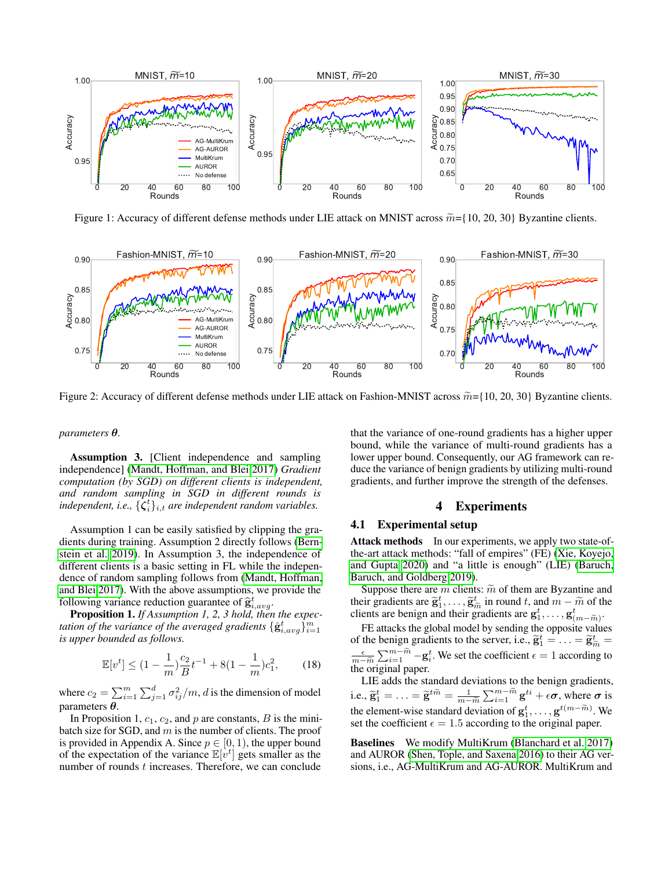<span id="page-4-0"></span>

Figure 1: Accuracy of different defense methods under LIE attack on MNIST across  $\widetilde{m} = \{10, 20, 30\}$  Byzantine clients.

<span id="page-4-1"></span>

Figure 2: Accuracy of different defense methods under LIE attack on Fashion-MNIST across  $\tilde{m}$ ={10, 20, 30} Byzantine clients.

#### *parameters* θ*.*

Assumption 3. [Client independence and sampling independence] [\(Mandt, Hoffman, and Blei 2017\)](#page-7-16) *Gradient computation (by SGD) on different clients is independent, and random sampling in SGD in different rounds is* independent, i.e.,  $\{\dot{\zeta}_i^t\}_{i,t}$  are independent random variables.

Assumption 1 can be easily satisfied by clipping the gradients during training. Assumption 2 directly follows [\(Bern](#page-6-6)[stein et al. 2019\)](#page-6-6). In Assumption 3, the independence of different clients is a basic setting in FL while the independence of random sampling follows from [\(Mandt, Hoffman,](#page-7-16) [and Blei 2017\)](#page-7-16). With the above assumptions, we provide the following variance reduction guarantee of  $\hat{\mathbf{g}}_{t, avg}^{t}$ .<br>**Proposition 1** If Assumption 1, 2, 3 hold, then

Proposition 1. *If Assumption 1, 2, 3 hold, then the expec*tation of the variance of the averaged gradients  $\{\hat{\mathbf{g}}_{i,avg}^t\}_{i=1}^m$ *is upper bounded as follows.*

$$
\mathbb{E}[v^t] \le (1 - \frac{1}{m})\frac{c_2}{B}t^{-1} + 8(1 - \frac{1}{m})c_1^2,\tag{18}
$$

where  $c_2 = \sum_{i=1}^m \sum_{j=1}^d \sigma_{ij}^2/m$ , d is the dimension of model parameters  $\theta$ .

In Proposition 1,  $c_1$ ,  $c_2$ , and p are constants, B is the minibatch size for SGD, and  $m$  is the number of clients. The proof is provided in Appendix A. Since  $p \in [0, 1)$ , the upper bound of the expectation of the variance  $\mathbb{E}[v^t]$  gets smaller as the number of rounds  $t$  increases. Therefore, we can conclude

that the variance of one-round gradients has a higher upper bound, while the variance of multi-round gradients has a lower upper bound. Consequently, our AG framework can reduce the variance of benign gradients by utilizing multi-round gradients, and further improve the strength of the defenses.

# 4 Experiments

# 4.1 Experimental setup

Attack methods In our experiments, we apply two state-ofthe-art attack methods: "fall of empires" (FE) [\(Xie, Koyejo,](#page-7-12) [and Gupta 2020\)](#page-7-12) and "a little is enough" (LIE) [\(Baruch,](#page-6-4) [Baruch, and Goldberg 2019\)](#page-6-4).

Suppose there are m clients:  $\tilde{m}$  of them are Byzantine and their gradients are  $\tilde{\mathbf{g}}_1^t, \dots, \tilde{\mathbf{g}}_m^t$  in round t, and  $m - \tilde{m}$  of the clients are benign and their gradients are  $\mathbf{g}^t$ inch gradients are  $g_1, \dots, g_{\tilde{n}}$  in found t, and  $m - m$  of used<br>clients are benign and their gradients are  $g_1^t, \dots, g_{(m-\tilde{m})}^t$ .

FE attacks the global model by sending the opposite values of  $\mathbf{g}_1, \dots, \mathbf{g}_{(m-\tilde{m})}$ . of the benign gradients to the server, i.e.,  $\tilde{\mathbf{g}}_1^t = \dots = \tilde{\mathbf{g}}_{\tilde{m}}^t =$  $rac{\epsilon}{m-\widetilde{m}}$ <br>the  $\alpha$  $\sum_{i=1}^{m-\widetilde{m}} -\mathbf{g}_i^t$ . We set the coefficient  $\epsilon = 1$  according to the original paper.

LIE adds the standard deviations to the benign gradients, i.e.,  $\widetilde{\mathbf{g}}_1^t = \ldots = \widetilde{\mathbf{g}}^{t\widetilde{m}} = \frac{1}{m-\widetilde{m}}$  $\sum_{i=1}^{m-\widetilde{m}} \mathbf{g}^{ti} + \epsilon \boldsymbol{\sigma}$ , where  $\boldsymbol{\sigma}$  is the element-wise standard deviation of  $g_1^t, \ldots, g^{t(m-\widetilde{m})}$ . We set the coefficient  $\epsilon = 1.5$  according to the original paper.

Baselines We modify MultiKrum [\(Blanchard et al. 2017\)](#page-6-5) and AUROR [\(Shen, Tople, and Saxena 2016\)](#page-7-14) to their AG versions, i.e., AG-MultiKrum and AG-AUROR. MultiKrum and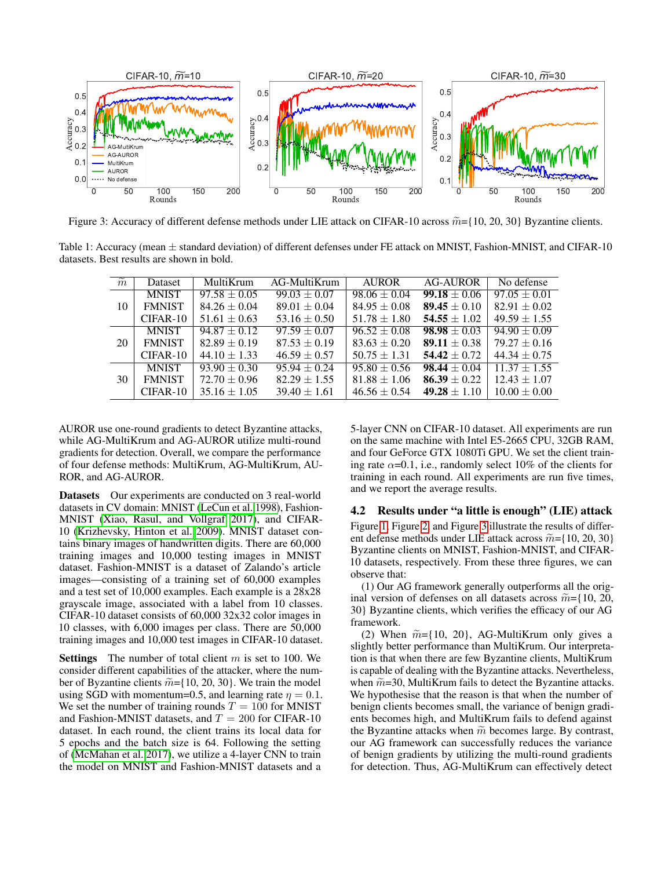<span id="page-5-0"></span>

Figure 3: Accuracy of different defense methods under LIE attack on CIFAR-10 across  $\widetilde{m}$ ={10, 20, 30} Byzantine clients.

<span id="page-5-1"></span>Table 1: Accuracy (mean  $\pm$  standard deviation) of different defenses under FE attack on MNIST, Fashion-MNIST, and CIFAR-10 datasets. Best results are shown in bold.

| $\widetilde{m}$ | <b>Dataset</b> | MultiKrum        | AG-MultiKrum     | <b>AUROR</b>     | <b>AG-AUROR</b>  | No defense       |
|-----------------|----------------|------------------|------------------|------------------|------------------|------------------|
| 10              | <b>MNIST</b>   | $97.58 + 0.05$   | $99.03 + 0.07$   | $98.06 \pm 0.04$ | $99.18 + 0.06$   | $97.05 \pm 0.01$ |
|                 | <b>FMNIST</b>  | $84.26 \pm 0.04$ | $89.01 \pm 0.04$ | $84.95 \pm 0.08$ | $89.45 \pm 0.10$ | $82.91 \pm 0.02$ |
|                 | $CIFAR-10$     | $51.61 \pm 0.63$ | $53.16 \pm 0.50$ | $51.78 \pm 1.80$ | $54.55 \pm 1.02$ | $49.59 \pm 1.55$ |
| 20              | <b>MNIST</b>   | $94.87 + 0.12$   | $97.59 + 0.07$   | $96.52 + 0.08$   | $98.98 + 0.03$   | $94.90 + 0.09$   |
|                 | <b>FMNIST</b>  | $82.89 \pm 0.19$ | $87.53 \pm 0.19$ | $83.63 \pm 0.20$ | $89.11 \pm 0.38$ | $79.27 \pm 0.16$ |
|                 | $CIFAR-10$     | $44.10 \pm 1.33$ | $46.59 \pm 0.57$ | $50.75 \pm 1.31$ | $54.42 \pm 0.72$ | $44.34 \pm 0.75$ |
| 30              | <b>MNIST</b>   | $93.90 \pm 0.30$ | $95.94 + 0.24$   | $95.80 \pm 0.56$ | $98.44 \pm 0.04$ | $11.37 + 1.55$   |
|                 | <b>FMNIST</b>  | $72.70 \pm 0.96$ | $82.29 \pm 1.55$ | $81.88 \pm 1.06$ | $86.39 \pm 0.22$ | $12.43 \pm 1.07$ |
|                 | $CIFAR-10$     | $35.16 \pm 1.05$ | $39.40 \pm 1.61$ | $46.56 \pm 0.54$ | $49.28 \pm 1.10$ | $10.00 \pm 0.00$ |

AUROR use one-round gradients to detect Byzantine attacks, while AG-MultiKrum and AG-AUROR utilize multi-round gradients for detection. Overall, we compare the performance of four defense methods: MultiKrum, AG-MultiKrum, AU-ROR, and AG-AUROR.

Datasets Our experiments are conducted on 3 real-world datasets in CV domain: MNIST [\(LeCun et al. 1998\)](#page-7-17), Fashion-MNIST [\(Xiao, Rasul, and Vollgraf 2017\)](#page-7-18), and CIFAR-10 [\(Krizhevsky, Hinton et al. 2009\)](#page-7-19). MNIST dataset contains binary images of handwritten digits. There are 60,000 training images and 10,000 testing images in MNIST dataset. Fashion-MNIST is a dataset of Zalando's article images—consisting of a training set of 60,000 examples and a test set of 10,000 examples. Each example is a 28x28 grayscale image, associated with a label from 10 classes. CIFAR-10 dataset consists of 60,000 32x32 color images in 10 classes, with 6,000 images per class. There are 50,000 training images and 10,000 test images in CIFAR-10 dataset.

**Settings** The number of total client  $m$  is set to 100. We consider different capabilities of the attacker, where the number of Byzantine clients  $\widetilde{m} = \{10, 20, 30\}$ . We train the model using SGD with momentum=0.5, and learning rate  $\eta = 0.1$ . We set the number of training rounds  $T = 100$  for MNIST and Fashion-MNIST datasets, and  $T = 200$  for CIFAR-10 dataset. In each round, the client trains its local data for 5 epochs and the batch size is 64. Following the setting of [\(McMahan et al. 2017\)](#page-7-5), we utilize a 4-layer CNN to train the model on MNIST and Fashion-MNIST datasets and a

5-layer CNN on CIFAR-10 dataset. All experiments are run on the same machine with Intel E5-2665 CPU, 32GB RAM, and four GeForce GTX 1080Ti GPU. We set the client training rate  $\alpha$ =0.1, i.e., randomly select 10% of the clients for training in each round. All experiments are run five times, and we report the average results.

#### 4.2 Results under "a little is enough" (LIE) attack

Figure [1,](#page-4-0) Figure [2,](#page-4-1) and Figure [3](#page-5-0) illustrate the results of different defense methods under LIE attack across  $\widetilde{m} = \{10, 20, 30\}$ Byzantine clients on MNIST, Fashion-MNIST, and CIFAR-10 datasets, respectively. From these three figures, we can observe that:

(1) Our AG framework generally outperforms all the original version of defenses on all datasets across  $\widetilde{m} = \{10, 20, \ldots\}$ 30} Byzantine clients, which verifies the efficacy of our AG framework.

(2) When  $\widetilde{m} = \{10, 20\}$ , AG-MultiKrum only gives a slightly better performance than MultiKrum. Our interpretation is that when there are few Byzantine clients, MultiKrum is capable of dealing with the Byzantine attacks. Nevertheless, when  $\widetilde{m}$ =30, MultiKrum fails to detect the Byzantine attacks. We hypothesise that the reason is that when the number of benign clients becomes small, the variance of benign gradients becomes high, and MultiKrum fails to defend against the Byzantine attacks when  $\tilde{m}$  becomes large. By contrast, our AG framework can successfully reduces the variance of benign gradients by utilizing the multi-round gradients for detection. Thus, AG-MultiKrum can effectively detect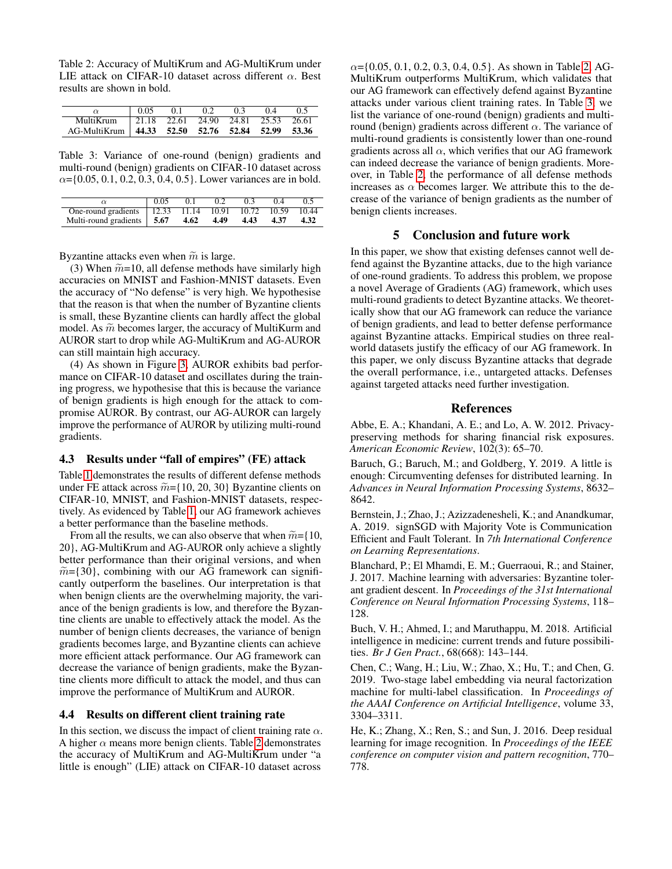<span id="page-6-7"></span>Table 2: Accuracy of MultiKrum and AG-MultiKrum under LIE attack on CIFAR-10 dataset across different  $\alpha$ . Best results are shown in bold.

|                                                  | 0.05 | 0.1 | 0.2                                         | 0.3 | 0.4 | 0.5 |
|--------------------------------------------------|------|-----|---------------------------------------------|-----|-----|-----|
| MultiKrum                                        |      |     | $\vert$ 21.18 22.61 24.90 24.81 25.53 26.61 |     |     |     |
| AG-MultiKrum 44.33 52.50 52.76 52.84 52.99 53.36 |      |     |                                             |     |     |     |

<span id="page-6-8"></span>Table 3: Variance of one-round (benign) gradients and multi-round (benign) gradients on CIFAR-10 dataset across  $\alpha = \{0.05, 0.1, 0.2, 0.3, 0.4, 0.5\}$ . Lower variances are in bold.

|                                                     | 0.05 | 01   | 02   | 0.3  | 04   |       |
|-----------------------------------------------------|------|------|------|------|------|-------|
| One-round gradients   12.33 11.14 10.91 10.72 10.59 |      |      |      |      |      | 10.44 |
| Multi-round gradients 5.67                          |      | 4.62 | 4.49 | 4.43 | 4.37 | 4.32  |

Byzantine attacks even when  $\tilde{m}$  is large.

(3) When  $\widetilde{m}$ =10, all defense methods have similarly high accuracies on MNIST and Fashion-MNIST datasets. Even the accuracy of "No defense" is very high. We hypothesise that the reason is that when the number of Byzantine clients is small, these Byzantine clients can hardly affect the global model. As  $\widetilde{m}$  becomes larger, the accuracy of MultiKurm and AUROR start to drop while AG-MultiKrum and AG-AUROR can still maintain high accuracy.

(4) As shown in Figure [3,](#page-5-0) AUROR exhibits bad performance on CIFAR-10 dataset and oscillates during the training progress, we hypothesise that this is because the variance of benign gradients is high enough for the attack to compromise AUROR. By contrast, our AG-AUROR can largely improve the performance of AUROR by utilizing multi-round gradients.

## 4.3 Results under "fall of empires" (FE) attack

Table [1](#page-5-1) demonstrates the results of different defense methods under FE attack across  $\widetilde{m} = \{10, 20, 30\}$  Byzantine clients on CIFAR-10, MNIST, and Fashion-MNIST datasets, respectively. As evidenced by Table [1,](#page-5-1) our AG framework achieves a better performance than the baseline methods.

From all the results, we can also observe that when  $\widetilde{m} = \{10,$ 20}, AG-MultiKrum and AG-AUROR only achieve a slightly better performance than their original versions, and when  $\widetilde{m}$ ={30}, combining with our AG framework can significantly outperform the baselines. Our interpretation is that when benign clients are the overwhelming majority, the variance of the benign gradients is low, and therefore the Byzantine clients are unable to effectively attack the model. As the number of benign clients decreases, the variance of benign gradients becomes large, and Byzantine clients can achieve more efficient attack performance. Our AG framework can decrease the variance of benign gradients, make the Byzantine clients more difficult to attack the model, and thus can improve the performance of MultiKrum and AUROR.

#### 4.4 Results on different client training rate

In this section, we discuss the impact of client training rate  $\alpha$ . A higher  $\alpha$  means more benign clients. Table [2](#page-6-7) demonstrates the accuracy of MultiKrum and AG-MultiKrum under "a little is enough" (LIE) attack on CIFAR-10 dataset across

 $\alpha = \{0.05, 0.1, 0.2, 0.3, 0.4, 0.5\}$ . As shown in Table [2,](#page-6-7) AG-MultiKrum outperforms MultiKrum, which validates that our AG framework can effectively defend against Byzantine attacks under various client training rates. In Table [3,](#page-6-8) we list the variance of one-round (benign) gradients and multiround (benign) gradients across different  $\alpha$ . The variance of multi-round gradients is consistently lower than one-round gradients across all  $\alpha$ , which verifies that our AG framework can indeed decrease the variance of benign gradients. Moreover, in Table [2,](#page-6-7) the performance of all defense methods increases as  $\alpha$  becomes larger. We attribute this to the decrease of the variance of benign gradients as the number of benign clients increases.

# 5 Conclusion and future work

In this paper, we show that existing defenses cannot well defend against the Byzantine attacks, due to the high variance of one-round gradients. To address this problem, we propose a novel Average of Gradients (AG) framework, which uses multi-round gradients to detect Byzantine attacks. We theoretically show that our AG framework can reduce the variance of benign gradients, and lead to better defense performance against Byzantine attacks. Empirical studies on three realworld datasets justify the efficacy of our AG framework. In this paper, we only discuss Byzantine attacks that degrade the overall performance, i.e., untargeted attacks. Defenses against targeted attacks need further investigation.

## References

<span id="page-6-3"></span>Abbe, E. A.; Khandani, A. E.; and Lo, A. W. 2012. Privacypreserving methods for sharing financial risk exposures. *American Economic Review*, 102(3): 65–70.

<span id="page-6-4"></span>Baruch, G.; Baruch, M.; and Goldberg, Y. 2019. A little is enough: Circumventing defenses for distributed learning. In *Advances in Neural Information Processing Systems*, 8632– 8642.

<span id="page-6-6"></span>Bernstein, J.; Zhao, J.; Azizzadenesheli, K.; and Anandkumar, A. 2019. signSGD with Majority Vote is Communication Efficient and Fault Tolerant. In *7th International Conference on Learning Representations*.

<span id="page-6-5"></span>Blanchard, P.; El Mhamdi, E. M.; Guerraoui, R.; and Stainer, J. 2017. Machine learning with adversaries: Byzantine tolerant gradient descent. In *Proceedings of the 31st International Conference on Neural Information Processing Systems*, 118– 128.

<span id="page-6-2"></span>Buch, V. H.; Ahmed, I.; and Maruthappu, M. 2018. Artificial intelligence in medicine: current trends and future possibilities. *Br J Gen Pract.*, 68(668): 143–144.

<span id="page-6-1"></span>Chen, C.; Wang, H.; Liu, W.; Zhao, X.; Hu, T.; and Chen, G. 2019. Two-stage label embedding via neural factorization machine for multi-label classification. In *Proceedings of the AAAI Conference on Artificial Intelligence*, volume 33, 3304–3311.

<span id="page-6-0"></span>He, K.; Zhang, X.; Ren, S.; and Sun, J. 2016. Deep residual learning for image recognition. In *Proceedings of the IEEE conference on computer vision and pattern recognition*, 770– 778.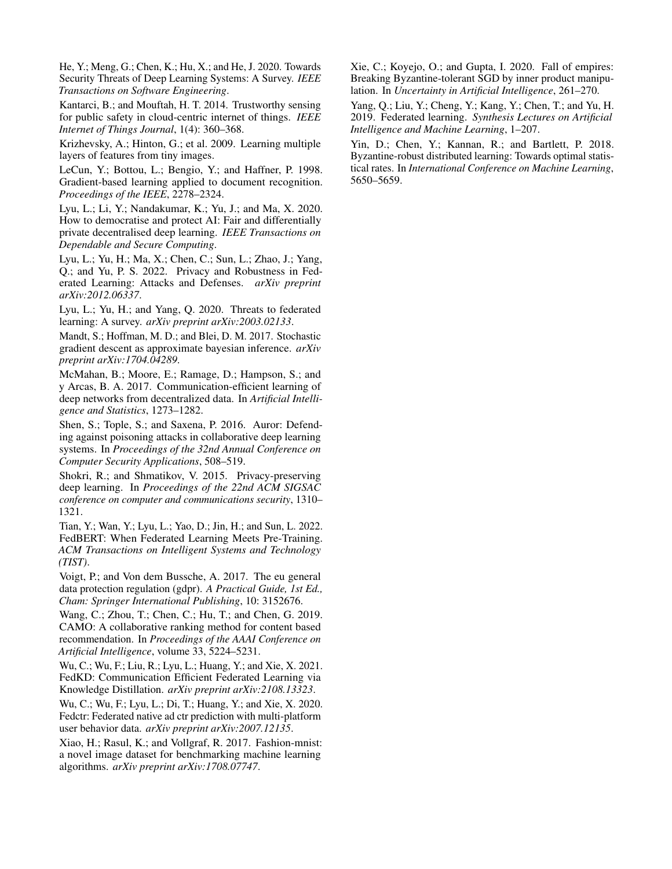<span id="page-7-3"></span>He, Y.; Meng, G.; Chen, K.; Hu, X.; and He, J. 2020. Towards Security Threats of Deep Learning Systems: A Survey. *IEEE Transactions on Software Engineering*.

<span id="page-7-1"></span>Kantarci, B.; and Mouftah, H. T. 2014. Trustworthy sensing for public safety in cloud-centric internet of things. *IEEE Internet of Things Journal*, 1(4): 360–368.

<span id="page-7-19"></span>Krizhevsky, A.; Hinton, G.; et al. 2009. Learning multiple layers of features from tiny images.

<span id="page-7-17"></span>LeCun, Y.; Bottou, L.; Bengio, Y.; and Haffner, P. 1998. Gradient-based learning applied to document recognition. *Proceedings of the IEEE*, 2278–2324.

<span id="page-7-11"></span>Lyu, L.; Li, Y.; Nandakumar, K.; Yu, J.; and Ma, X. 2020. How to democratise and protect AI: Fair and differentially private decentralised deep learning. *IEEE Transactions on Dependable and Secure Computing*.

<span id="page-7-13"></span>Lyu, L.; Yu, H.; Ma, X.; Chen, C.; Sun, L.; Zhao, J.; Yang, Q.; and Yu, P. S. 2022. Privacy and Robustness in Federated Learning: Attacks and Defenses. *arXiv preprint arXiv:2012.06337*.

<span id="page-7-7"></span>Lyu, L.; Yu, H.; and Yang, Q. 2020. Threats to federated learning: A survey. *arXiv preprint arXiv:2003.02133*.

<span id="page-7-16"></span>Mandt, S.; Hoffman, M. D.; and Blei, D. M. 2017. Stochastic gradient descent as approximate bayesian inference. *arXiv preprint arXiv:1704.04289*.

<span id="page-7-5"></span>McMahan, B.; Moore, E.; Ramage, D.; Hampson, S.; and y Arcas, B. A. 2017. Communication-efficient learning of deep networks from decentralized data. In *Artificial Intelligence and Statistics*, 1273–1282.

<span id="page-7-14"></span>Shen, S.; Tople, S.; and Saxena, P. 2016. Auror: Defending against poisoning attacks in collaborative deep learning systems. In *Proceedings of the 32nd Annual Conference on Computer Security Applications*, 508–519.

<span id="page-7-2"></span>Shokri, R.; and Shmatikov, V. 2015. Privacy-preserving deep learning. In *Proceedings of the 22nd ACM SIGSAC conference on computer and communications security*, 1310– 1321.

<span id="page-7-8"></span>Tian, Y.; Wan, Y.; Lyu, L.; Yao, D.; Jin, H.; and Sun, L. 2022. FedBERT: When Federated Learning Meets Pre-Training. *ACM Transactions on Intelligent Systems and Technology (TIST)*.

<span id="page-7-4"></span>Voigt, P.; and Von dem Bussche, A. 2017. The eu general data protection regulation (gdpr). *A Practical Guide, 1st Ed., Cham: Springer International Publishing*, 10: 3152676.

<span id="page-7-0"></span>Wang, C.; Zhou, T.; Chen, C.; Hu, T.; and Chen, G. 2019. CAMO: A collaborative ranking method for content based recommendation. In *Proceedings of the AAAI Conference on Artificial Intelligence*, volume 33, 5224–5231.

<span id="page-7-10"></span>Wu, C.; Wu, F.; Liu, R.; Lyu, L.; Huang, Y.; and Xie, X. 2021. FedKD: Communication Efficient Federated Learning via Knowledge Distillation. *arXiv preprint arXiv:2108.13323*.

<span id="page-7-9"></span>Wu, C.; Wu, F.; Lyu, L.; Di, T.; Huang, Y.; and Xie, X. 2020. Fedctr: Federated native ad ctr prediction with multi-platform user behavior data. *arXiv preprint arXiv:2007.12135*.

<span id="page-7-18"></span>Xiao, H.; Rasul, K.; and Vollgraf, R. 2017. Fashion-mnist: a novel image dataset for benchmarking machine learning algorithms. *arXiv preprint arXiv:1708.07747*.

<span id="page-7-12"></span>Xie, C.; Koyejo, O.; and Gupta, I. 2020. Fall of empires: Breaking Byzantine-tolerant SGD by inner product manipulation. In *Uncertainty in Artificial Intelligence*, 261–270.

<span id="page-7-6"></span>Yang, Q.; Liu, Y.; Cheng, Y.; Kang, Y.; Chen, T.; and Yu, H. 2019. Federated learning. *Synthesis Lectures on Artificial Intelligence and Machine Learning*, 1–207.

<span id="page-7-15"></span>Yin, D.; Chen, Y.; Kannan, R.; and Bartlett, P. 2018. Byzantine-robust distributed learning: Towards optimal statistical rates. In *International Conference on Machine Learning*, 5650–5659.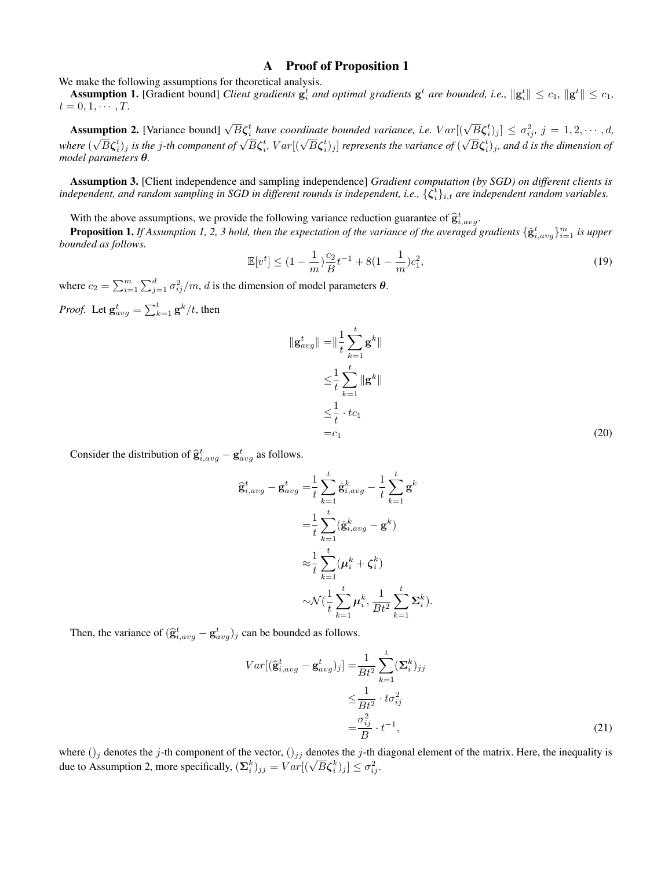# A Proof of Proposition 1

We make the following assumptions for theoretical analysis.

Assumption 1. [Gradient bound] *Client gradients*  $\mathbf{g}_i^t$  *and optimal gradients*  $\mathbf{g}^t$  *are bounded, i.e.,*  $\|\mathbf{g}_i^t\| \leq c_1$ ,  $\|\mathbf{g}^t\| \leq c_1$ ,  $t = 0, 1, \cdots, T$ .

Assumption 2. [Variance bound]  $\sqrt{B}\zeta_i^t$  have coordinate bounded variance, i.e.  $Var[(\sqrt{B}\zeta_i^t)_j] \leq \sigma_{ij}^2$ ,  $j = 1, 2, \cdots, d$ , **Example of**  $\overline{K}$  **c** is the *j*-th component of  $\sqrt{B}\zeta_i^t$ ,  $Var[(\sqrt{B}\zeta_i^t)_j]$  represents the variance of  $(\sqrt{B}\zeta_i^t)_j$ , and d is the dimension of  $\overline{K}$ *model parameters* θ*.*

Assumption 3. [Client independence and sampling independence] *Gradient computation (by SGD) on different clients is* independent, and random sampling in SGD in different rounds is independent, i.e.,  $\{\zeta_i^t\}_{i,t}$  are independent random variables.

With the above assumptions, we provide the following variance reduction guarantee of  $\hat{\mathbf{g}}_{i,avg}^t$ .<br>**Proposition 1.** If Assumption 1. 2.2 hold than the superstation of the variance of the suggested

**Proposition 1.** If Assumption 1, 2, 3 hold, then the expectation of the variance of the averaged gradients  $\{\hat{\bf g}^t_{i,avg}\}_{i=1}^m$  is upper *bounded as follows.*

$$
\mathbb{E}[v^t] \le (1 - \frac{1}{m})\frac{c_2}{B}t^{-1} + 8(1 - \frac{1}{m})c_1^2,\tag{19}
$$

where  $c_2 = \sum_{i=1}^{m} \sum_{j=1}^{d} \sigma_{ij}^2/m$ , *d* is the dimension of model parameters  $\theta$ .

*Proof.* Let  $\mathbf{g}_{avg}^t = \sum_{k=1}^t \mathbf{g}^k / t$ , then

<span id="page-8-0"></span>
$$
\|\mathbf{g}_{avg}^t\| = \|\frac{1}{t} \sum_{k=1}^t \mathbf{g}^k\|
$$
  
\n
$$
\leq \frac{1}{t} \sum_{k=1}^t \|\mathbf{g}^k\|
$$
  
\n
$$
\leq \frac{1}{t} \cdot tc_1
$$
  
\n
$$
= c_1
$$
\n(20)

Consider the distribution of  $\hat{\mathbf{g}}_{i,avg}^{t} - \mathbf{g}_{avg}^{t}$  as follows.

$$
\begin{split} \widehat{\mathbf{g}}_{i,avg}^{t} - \mathbf{g}_{avg}^{t} &= \frac{1}{t} \sum_{k=1}^{t} \widehat{\mathbf{g}}_{i,avg}^{k} - \frac{1}{t} \sum_{k=1}^{t} \mathbf{g}^{k} \\ &= \frac{1}{t} \sum_{k=1}^{t} (\widehat{\mathbf{g}}_{i,avg}^{k} - \mathbf{g}^{k}) \\ &\approx \frac{1}{t} \sum_{k=1}^{t} (\boldsymbol{\mu}_{i}^{k} + \boldsymbol{\zeta}_{i}^{k}) \\ &\sim \mathcal{N}(\frac{1}{t} \sum_{k=1}^{t} \boldsymbol{\mu}_{i}^{k}, \frac{1}{B t^{2}} \sum_{k=1}^{t} \boldsymbol{\Sigma}_{i}^{k}). \end{split}
$$

Then, the variance of  $(\hat{\mathbf{g}}_{i,avg}^t - \mathbf{g}_{avg}^t)_j$  can be bounded as follows.

<span id="page-8-1"></span>
$$
Var[(\widehat{\mathbf{g}}_{i,avg}^{t} - \mathbf{g}_{avg}^{t})_{j}] = \frac{1}{Bt^{2}} \sum_{k=1}^{t} (\mathbf{\Sigma}_{i}^{k})_{jj}
$$

$$
\leq \frac{1}{Bt^{2}} \cdot t\sigma_{ij}^{2}
$$

$$
= \frac{\sigma_{ij}^{2}}{B} \cdot t^{-1},
$$
(21)

where  $(j_j$  denotes the j-th component of the vector,  $(j_{jj}$  denotes the j-th diagonal element of the matrix. Here, the inequality is where  $(j_j$  denotes the *j*-th component of the vector,  $(j_j j$  denotes the *j*-th control due to Assumption 2, more specifically,  $(\Sigma_i^k)_{jj} = Var[(\sqrt{B}\zeta_i^k)_j] \leq \sigma_{ij}^2$ .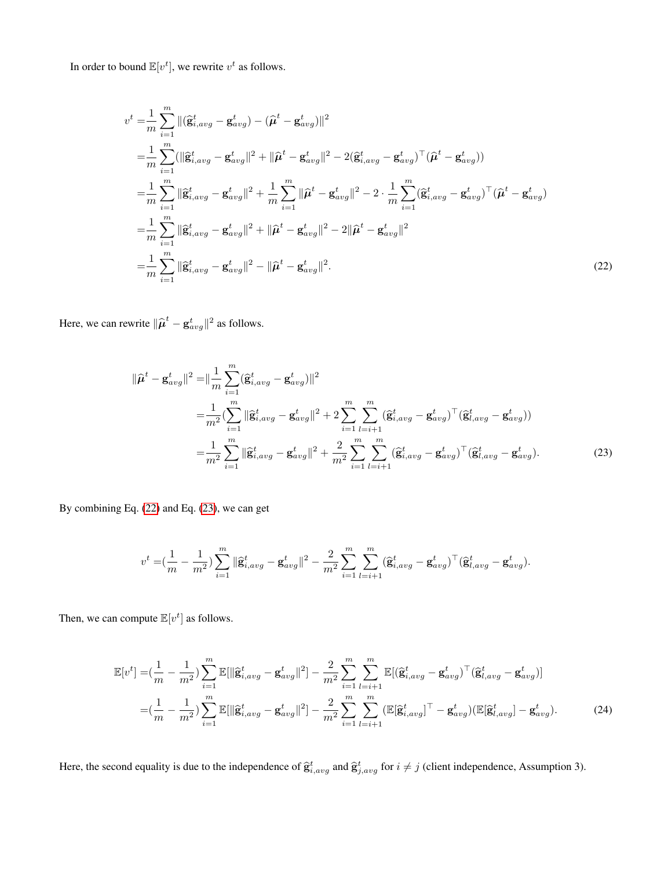In order to bound  $\mathbb{E}[v^t]$ , we rewrite  $v^t$  as follows.

$$
v^{t} = \frac{1}{m} \sum_{i=1}^{m} \|(\hat{\mathbf{g}}_{i,avg}^{t} - \mathbf{g}_{avg}^{t}) - (\hat{\boldsymbol{\mu}}^{t} - \mathbf{g}_{avg}^{t})\|^{2}
$$
  
\n
$$
= \frac{1}{m} \sum_{i=1}^{m} (\|\hat{\mathbf{g}}_{i,avg}^{t} - \mathbf{g}_{avg}^{t}\|^{2} + \|\hat{\boldsymbol{\mu}}^{t} - \mathbf{g}_{avg}^{t}\|^{2} - 2(\hat{\mathbf{g}}_{i,avg}^{t} - \mathbf{g}_{avg}^{t})^{\top}(\hat{\boldsymbol{\mu}}^{t} - \mathbf{g}_{avg}^{t}))
$$
  
\n
$$
= \frac{1}{m} \sum_{i=1}^{m} \|\hat{\mathbf{g}}_{i,avg}^{t} - \mathbf{g}_{avg}^{t}\|^{2} + \frac{1}{m} \sum_{i=1}^{m} \|\hat{\boldsymbol{\mu}}^{t} - \mathbf{g}_{avg}^{t}\|^{2} - 2 \cdot \frac{1}{m} \sum_{i=1}^{m} (\hat{\mathbf{g}}_{i,avg}^{t} - \mathbf{g}_{avg}^{t})^{\top}(\hat{\boldsymbol{\mu}}^{t} - \mathbf{g}_{avg}^{t})
$$
  
\n
$$
= \frac{1}{m} \sum_{i=1}^{m} \|\hat{\mathbf{g}}_{i,avg}^{t} - \mathbf{g}_{avg}^{t}\|^{2} + \|\hat{\boldsymbol{\mu}}^{t} - \mathbf{g}_{avg}^{t}\|^{2} - 2\|\hat{\boldsymbol{\mu}}^{t} - \mathbf{g}_{avg}^{t}\|^{2}
$$
  
\n
$$
= \frac{1}{m} \sum_{i=1}^{m} \|\hat{\mathbf{g}}_{i,avg}^{t} - \mathbf{g}_{avg}^{t}\|^{2} - \|\hat{\boldsymbol{\mu}}^{t} - \mathbf{g}_{avg}^{t}\|^{2}.
$$
\n(22)

Here, we can rewrite  $\|\hat{\boldsymbol{\mu}}^t - \mathbf{g}_{avg}^t\|^2$  as follows.

<span id="page-9-0"></span>
$$
\|\hat{\mu}^{t} - \mathbf{g}_{avg}^{t}\|^{2} = \|\frac{1}{m} \sum_{i=1}^{m} (\hat{\mathbf{g}}_{i,avg}^{t} - \mathbf{g}_{avg}^{t})\|^{2}
$$
  
\n
$$
= \frac{1}{m^{2}} (\sum_{i=1}^{m} \|\hat{\mathbf{g}}_{i,avg}^{t} - \mathbf{g}_{avg}^{t}\|^{2} + 2 \sum_{i=1}^{m} \sum_{l=i+1}^{m} (\hat{\mathbf{g}}_{i,avg}^{t} - \mathbf{g}_{avg}^{t})^{\top} (\hat{\mathbf{g}}_{l,avg}^{t} - \mathbf{g}_{avg}^{t}))
$$
  
\n
$$
= \frac{1}{m^{2}} \sum_{i=1}^{m} \|\hat{\mathbf{g}}_{i,avg}^{t} - \mathbf{g}_{avg}^{t}\|^{2} + \frac{2}{m^{2}} \sum_{i=1}^{m} \sum_{l=i+1}^{m} (\hat{\mathbf{g}}_{i,avg}^{t} - \mathbf{g}_{avg}^{t})^{\top} (\hat{\mathbf{g}}_{l,avg}^{t} - \mathbf{g}_{avg}^{t}). \tag{23}
$$

By combining Eq. [\(22\)](#page-9-0) and Eq. [\(23\)](#page-9-1), we can get

<span id="page-9-2"></span><span id="page-9-1"></span>
$$
v^t = \left(\frac{1}{m} - \frac{1}{m^2}\right) \sum_{i=1}^m \| \hat{\mathbf{g}}_{i,avg}^t - \mathbf{g}_{avg}^t \|^2 - \frac{2}{m^2} \sum_{i=1}^m \sum_{l=i+1}^m (\hat{\mathbf{g}}_{i,avg}^t - \mathbf{g}_{avg}^t)^{\top} (\hat{\mathbf{g}}_{l,avg}^t - \mathbf{g}_{avg}^t).
$$

Then, we can compute  $\mathbb{E}[v^t]$  as follows.

$$
\mathbb{E}[v^{t}] = \left(\frac{1}{m} - \frac{1}{m^{2}}\right) \sum_{i=1}^{m} \mathbb{E}[\|\hat{\mathbf{g}}_{i,avg}^{t} - \mathbf{g}_{avg}^{t}\|^{2}] - \frac{2}{m^{2}} \sum_{i=1}^{m} \sum_{l=i+1}^{m} \mathbb{E}[(\hat{\mathbf{g}}_{i,avg}^{t} - \mathbf{g}_{avg}^{t})^{\top} (\hat{\mathbf{g}}_{l,avg}^{t} - \mathbf{g}_{avg}^{t})]
$$
\n
$$
= \left(\frac{1}{m} - \frac{1}{m^{2}}\right) \sum_{i=1}^{m} \mathbb{E}[\|\hat{\mathbf{g}}_{i,avg}^{t} - \mathbf{g}_{avg}^{t}\|^{2}] - \frac{2}{m^{2}} \sum_{i=1}^{m} \sum_{l=i+1}^{m} (\mathbb{E}[\hat{\mathbf{g}}_{i,avg}^{t}]^{\top} - \mathbf{g}_{avg}^{t}) (\mathbb{E}[\hat{\mathbf{g}}_{l,avg}^{t}] - \mathbf{g}_{avg}^{t}). \tag{24}
$$

Here, the second equality is due to the independence of  $\hat{\mathbf{g}}_{i,avg}^t$  and  $\hat{\mathbf{g}}_{j,avg}^t$  for  $i \neq j$  (client independence, Assumption 3).